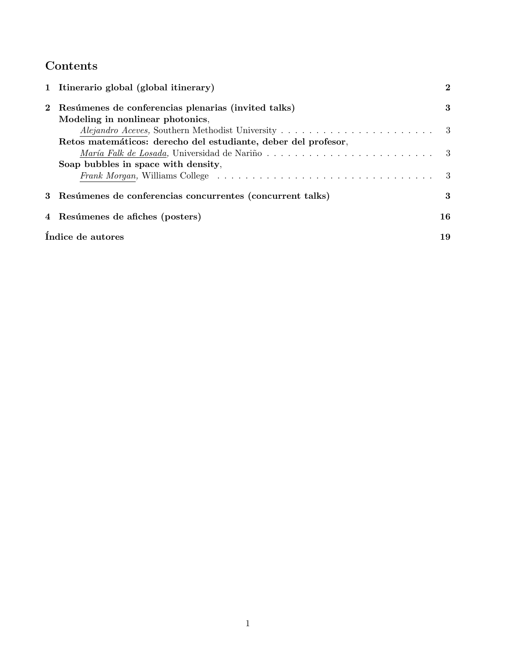# Contents

| 1 Itinerario global (global itinerary) |                                                                |     |  |  |  |  |
|----------------------------------------|----------------------------------------------------------------|-----|--|--|--|--|
|                                        | 2 Resúmenes de conferencias plenarias (invited talks)          |     |  |  |  |  |
|                                        | Modeling in nonlinear photonics,                               |     |  |  |  |  |
|                                        |                                                                |     |  |  |  |  |
|                                        | Retos matemáticos: derecho del estudiante, deber del profesor, |     |  |  |  |  |
|                                        |                                                                |     |  |  |  |  |
|                                        | Soap bubbles in space with density,                            |     |  |  |  |  |
|                                        |                                                                | - 3 |  |  |  |  |
|                                        | 3 Resúmenes de conferencias concurrentes (concurrent talks)    | 3   |  |  |  |  |
|                                        | 4 Resúmenes de afiches (posters)                               | 16  |  |  |  |  |
|                                        | Indice de autores                                              | 19  |  |  |  |  |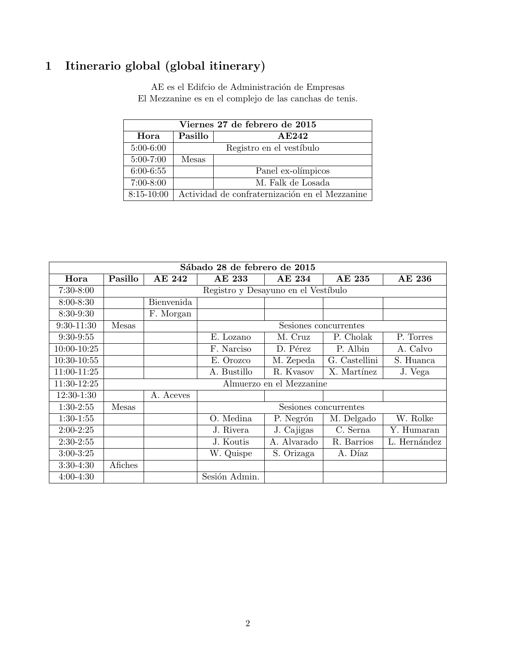# 1 Itinerario global (global itinerary)

 $\operatorname{AE}$ es el Edifcio de Administración de Empresas El Mezzanine es en el complejo de las canchas de tenis.

| Viernes 27 de febrero de 2015 |                          |                                                |  |  |  |  |  |  |  |
|-------------------------------|--------------------------|------------------------------------------------|--|--|--|--|--|--|--|
| Hora                          | Pasillo                  | A E242                                         |  |  |  |  |  |  |  |
| $5:00-6:00$                   | Registro en el vestíbulo |                                                |  |  |  |  |  |  |  |
| $5:00 - 7:00$                 | Mesas                    |                                                |  |  |  |  |  |  |  |
| $6:00 - 6:55$                 |                          | Panel ex-olímpicos                             |  |  |  |  |  |  |  |
| $7:00-8:00$                   |                          | M. Falk de Losada                              |  |  |  |  |  |  |  |
| $8:15-10:00$                  |                          | Actividad de confraternización en el Mezzanine |  |  |  |  |  |  |  |

| Sábado 28 de febrero de 2015 |                                     |            |                       |             |               |              |  |  |  |  |
|------------------------------|-------------------------------------|------------|-----------------------|-------------|---------------|--------------|--|--|--|--|
| Hora                         | Pasillo                             | AE 242     | AE 233                | AE 234      | AE 235        | AE 236       |  |  |  |  |
| $7:30-8:00$                  | Registro y Desayuno en el Vestíbulo |            |                       |             |               |              |  |  |  |  |
| $8:00 - 8:30$                |                                     | Bienvenida |                       |             |               |              |  |  |  |  |
| 8:30-9:30                    |                                     | F. Morgan  |                       |             |               |              |  |  |  |  |
| $9:30-11:30$                 | Mesas                               |            | Sesiones concurrentes |             |               |              |  |  |  |  |
| $9:30-9:55$                  |                                     |            | E. Lozano             | M. Cruz     | P. Cholak     | P. Torres    |  |  |  |  |
| 10:00-10:25                  |                                     |            | F. Narciso            | D. Pérez    | P. Albin      | A. Calvo     |  |  |  |  |
| 10:30-10:55                  |                                     |            | E. Orozco             | M. Zepeda   | G. Castellini | S. Huanca    |  |  |  |  |
| 11:00-11:25                  |                                     |            | A. Bustillo           | R. Kvasov   | X. Martínez   | J. Vega      |  |  |  |  |
| 11:30-12:25                  | Almuerzo en el Mezzanine            |            |                       |             |               |              |  |  |  |  |
| 12:30-1:30                   |                                     | A. Aceves  |                       |             |               |              |  |  |  |  |
| $1:30-2:55$                  | Mesas                               |            | Sesiones concurrentes |             |               |              |  |  |  |  |
| $1:30-1:55$                  |                                     |            | O. Medina             | P. Negrón   | M. Delgado    | W. Rolke     |  |  |  |  |
| $2:00-2:25$                  |                                     |            | J. Rivera             | J. Cajigas  | C. Serna      | Y. Humaran   |  |  |  |  |
| $2:30-2:55$                  |                                     |            | J. Koutis             | A. Alvarado | R. Barrios    | L. Hernández |  |  |  |  |
| $3:00-3:25$                  |                                     |            | W. Quispe             | S. Orizaga  | A. Díaz       |              |  |  |  |  |
| 3:30-4:30                    | Afiches                             |            |                       |             |               |              |  |  |  |  |
| $4:00 - 4:30$                |                                     |            | Sesión Admin.         |             |               |              |  |  |  |  |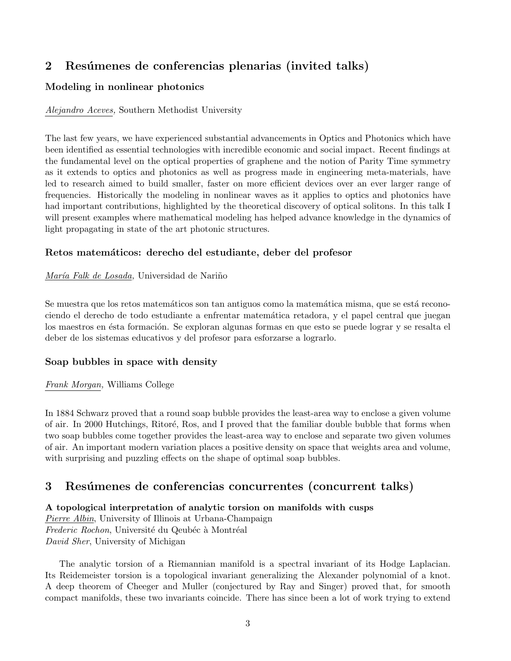## 2 Resúmenes de conferencias plenarias (invited talks)

## Modeling in nonlinear photonics

## Alejandro Aceves, Southern Methodist University

The last few years, we have experienced substantial advancements in Optics and Photonics which have been identified as essential technologies with incredible economic and social impact. Recent findings at the fundamental level on the optical properties of graphene and the notion of Parity Time symmetry as it extends to optics and photonics as well as progress made in engineering meta-materials, have led to research aimed to build smaller, faster on more efficient devices over an ever larger range of frequencies. Historically the modeling in nonlinear waves as it applies to optics and photonics have had important contributions, highlighted by the theoretical discovery of optical solitons. In this talk I will present examples where mathematical modeling has helped advance knowledge in the dynamics of light propagating in state of the art photonic structures.

## Retos matemáticos: derecho del estudiante, deber del profesor

## María Falk de Losada, Universidad de Nariño

Se muestra que los retos matemáticos son tan antiguos como la matemática misma, que se está reconociendo el derecho de todo estudiante a enfrentar matem´atica retadora, y el papel central que juegan los maestros en ésta formación. Se exploran algunas formas en que esto se puede lograr y se resalta el deber de los sistemas educativos y del profesor para esforzarse a lograrlo.

## Soap bubbles in space with density

## Frank Morgan, Williams College

In 1884 Schwarz proved that a round soap bubble provides the least-area way to enclose a given volume of air. In 2000 Hutchings, Ritor´e, Ros, and I proved that the familiar double bubble that forms when two soap bubbles come together provides the least-area way to enclose and separate two given volumes of air. An important modern variation places a positive density on space that weights area and volume, with surprising and puzzling effects on the shape of optimal soap bubbles.

## 3 Resúmenes de conferencias concurrentes (concurrent talks)

## A topological interpretation of analytic torsion on manifolds with cusps

Pierre Albin, University of Illinois at Urbana-Champaign Frederic Rochon, Université du Qeubéc à Montréal David Sher, University of Michigan

The analytic torsion of a Riemannian manifold is a spectral invariant of its Hodge Laplacian. Its Reidemeister torsion is a topological invariant generalizing the Alexander polynomial of a knot. A deep theorem of Cheeger and Muller (conjectured by Ray and Singer) proved that, for smooth compact manifolds, these two invariants coincide. There has since been a lot of work trying to extend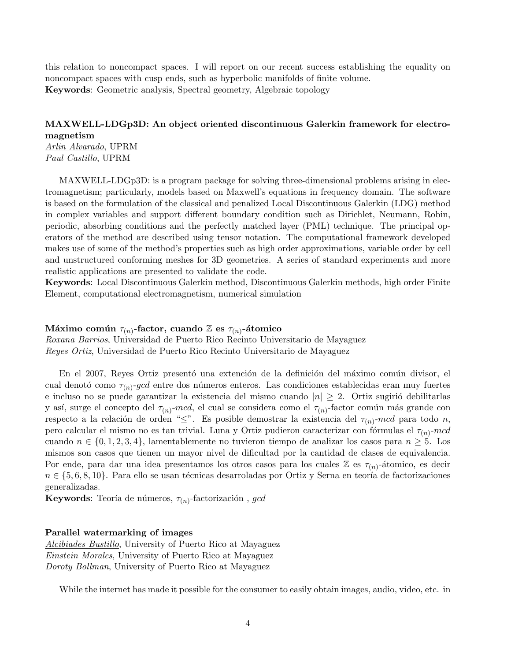this relation to noncompact spaces. I will report on our recent success establishing the equality on noncompact spaces with cusp ends, such as hyperbolic manifolds of finite volume. Keywords: Geometric analysis, Spectral geometry, Algebraic topology

## MAXWELL-LDGp3D: An object oriented discontinuous Galerkin framework for electromagnetism Arlin Alvarado, UPRM

Paul Castillo, UPRM

MAXWELL-LDGp3D: is a program package for solving three-dimensional problems arising in electromagnetism; particularly, models based on Maxwell's equations in frequency domain. The software is based on the formulation of the classical and penalized Local Discontinuous Galerkin (LDG) method in complex variables and support different boundary condition such as Dirichlet, Neumann, Robin, periodic, absorbing conditions and the perfectly matched layer (PML) technique. The principal operators of the method are described using tensor notation. The computational framework developed makes use of some of the method's properties such as high order approximations, variable order by cell and unstructured conforming meshes for 3D geometries. A series of standard experiments and more realistic applications are presented to validate the code.

Keywords: Local Discontinuous Galerkin method, Discontinuous Galerkin methods, high order Finite Element, computational electromagnetism, numerical simulation

## Máximo común  $\tau_{(n)}$ -factor, cuando  $\mathbb Z$  es  $\tau_{(n)}$ -átomico

Roxana Barrios, Universidad de Puerto Rico Recinto Universitario de Mayaguez Reyes Ortiz, Universidad de Puerto Rico Recinto Universitario de Mayaguez

En el 2007, Reyes Ortiz presentó una extención de la definición del máximo común divisor, el cual denotó como  $\tau_{(n)}$ -gcd entre dos números enteros. Las condiciones establecidas eran muy fuertes e incluso no se puede garantizar la existencia del mismo cuando  $|n| \geq 2$ . Ortiz sugirió debilitarlas y así, surge el concepto del  $\tau_{(n)}$ -mcd, el cual se considera como el  $\tau_{(n)}$ -factor común más grande con respecto a la relación de orden " $\leq$ ". Es posible demostrar la existencia del  $\tau_{(n)}$ -mcd para todo n, pero calcular el mismo no es tan trivial. Luna y Ortiz pudieron caracterizar con fórmulas el  $\tau_{(n)}$ -mcd cuando  $n \in \{0, 1, 2, 3, 4\}$ , lamentablemente no tuvieron tiempo de analizar los casos para  $n \geq 5$ . Los mismos son casos que tienen un mayor nivel de dificultad por la cantidad de clases de equivalencia. Por ende, para dar una idea presentamos los otros casos para los cuales  $\mathbb Z$  es  $\tau_{(n)}$ -átomico, es decir  $n \in \{5, 6, 8, 10\}$ . Para ello se usan técnicas desarroladas por Ortiz y Serna en teoría de factorizaciones generalizadas.

**Keywords**: Teoría de números,  $\tau_{(n)}$ -factorización , gcd

#### Parallel watermarking of images

Alcibiades Bustillo, University of Puerto Rico at Mayaguez Einstein Morales, University of Puerto Rico at Mayaguez Doroty Bollman, University of Puerto Rico at Mayaguez

While the internet has made it possible for the consumer to easily obtain images, audio, video, etc. in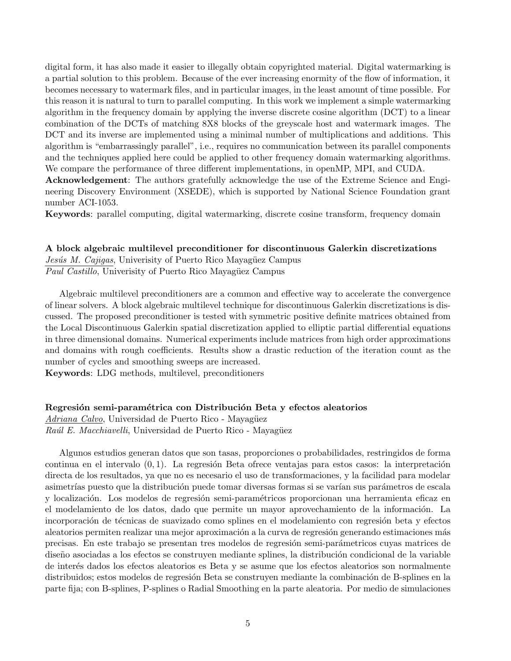digital form, it has also made it easier to illegally obtain copyrighted material. Digital watermarking is a partial solution to this problem. Because of the ever increasing enormity of the flow of information, it becomes necessary to watermark files, and in particular images, in the least amount of time possible. For this reason it is natural to turn to parallel computing. In this work we implement a simple watermarking algorithm in the frequency domain by applying the inverse discrete cosine algorithm (DCT) to a linear combination of the DCTs of matching 8X8 blocks of the greyscale host and watermark images. The DCT and its inverse are implemented using a minimal number of multiplications and additions. This algorithm is "embarrassingly parallel", i.e., requires no communication between its parallel components and the techniques applied here could be applied to other frequency domain watermarking algorithms. We compare the performance of three different implementations, in openMP, MPI, and CUDA.

Acknowledgement: The authors gratefully acknowledge the use of the Extreme Science and Engineering Discovery Environment (XSEDE), which is supported by National Science Foundation grant number ACI-1053.

Keywords: parallel computing, digital watermarking, discrete cosine transform, frequency domain

#### A block algebraic multilevel preconditioner for discontinuous Galerkin discretizations

Jesús M. Cajigas, Univerisity of Puerto Rico Mayagüez Campus Paul Castillo, Univerisity of Puerto Rico Mayagüez Campus

Algebraic multilevel preconditioners are a common and effective way to accelerate the convergence of linear solvers. A block algebraic multilevel technique for discontinuous Galerkin discretizations is discussed. The proposed preconditioner is tested with symmetric positive definite matrices obtained from the Local Discontinuous Galerkin spatial discretization applied to elliptic partial differential equations in three dimensional domains. Numerical experiments include matrices from high order approximations and domains with rough coefficients. Results show a drastic reduction of the iteration count as the number of cycles and smoothing sweeps are increased.

Keywords: LDG methods, multilevel, preconditioners

#### Regresión semi-paramétrica con Distribución Beta y efectos aleatorios

Adriana Calvo, Universidad de Puerto Rico - Mayagüez

Raúl E. Macchiavelli, Universidad de Puerto Rico - Mayagüez

Algunos estudios generan datos que son tasas, proporciones o probabilidades, restringidos de forma continua en el intervalo  $(0, 1)$ . La regresión Beta ofrece ventajas para estos casos: la interpretación directa de los resultados, ya que no es necesario el uso de transformaciones, y la facilidad para modelar asimetrías puesto que la distribución puede tomar diversas formas si se varían sus parámetros de escala y localización. Los modelos de regresión semi-paramétricos proporcionan una herramienta eficaz en el modelamiento de los datos, dado que permite un mayor aprovechamiento de la información. La incorporación de técnicas de suavizado como splines en el modelamiento con regresión beta y efectos aleatorios permiten realizar una mejor aproximación a la curva de regresión generando estimaciones más precisas. En este trabajo se presentan tres modelos de regresi´on semi-par´ametricos cuyas matrices de diseño asociadas a los efectos se construyen mediante splines, la distribución condicional de la variable de inter´es dados los efectos aleatorios es Beta y se asume que los efectos aleatorios son normalmente distribuidos; estos modelos de regresión Beta se construyen mediante la combinación de B-splines en la parte fija; con B-splines, P-splines o Radial Smoothing en la parte aleatoria. Por medio de simulaciones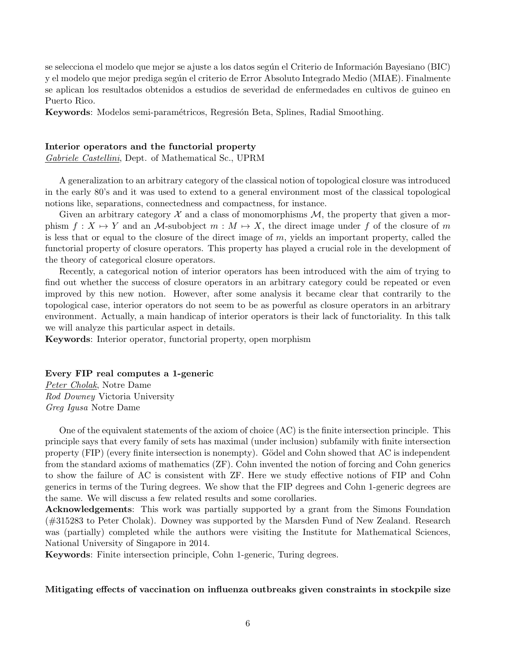se selecciona el modelo que mejor se ajuste a los datos según el Criterio de Información Bayesiano (BIC) y el modelo que mejor prediga según el criterio de Error Absoluto Integrado Medio (MIAE). Finalmente se aplican los resultados obtenidos a estudios de severidad de enfermedades en cultivos de guineo en Puerto Rico.

Keywords: Modelos semi-paramétricos, Regresión Beta, Splines, Radial Smoothing.

#### Interior operators and the functorial property

Gabriele Castellini, Dept. of Mathematical Sc., UPRM

A generalization to an arbitrary category of the classical notion of topological closure was introduced in the early 80's and it was used to extend to a general environment most of the classical topological notions like, separations, connectedness and compactness, for instance.

Given an arbitrary category  $\mathcal X$  and a class of monomorphisms  $\mathcal M$ , the property that given a morphism  $f : X \mapsto Y$  and an M-subobject  $m : M \mapsto X$ , the direct image under f of the closure of m is less that or equal to the closure of the direct image of  $m$ , yields an important property, called the functorial property of closure operators. This property has played a crucial role in the development of the theory of categorical closure operators.

Recently, a categorical notion of interior operators has been introduced with the aim of trying to find out whether the success of closure operators in an arbitrary category could be repeated or even improved by this new notion. However, after some analysis it became clear that contrarily to the topological case, interior operators do not seem to be as powerful as closure operators in an arbitrary environment. Actually, a main handicap of interior operators is their lack of functoriality. In this talk we will analyze this particular aspect in details.

Keywords: Interior operator, functorial property, open morphism

#### Every FIP real computes a 1-generic

Peter Cholak, Notre Dame Rod Downey Victoria University Greg Igusa Notre Dame

One of the equivalent statements of the axiom of choice (AC) is the finite intersection principle. This principle says that every family of sets has maximal (under inclusion) subfamily with finite intersection property (FIP) (every finite intersection is nonempty). Gödel and Cohn showed that AC is independent from the standard axioms of mathematics (ZF). Cohn invented the notion of forcing and Cohn generics to show the failure of AC is consistent with ZF. Here we study effective notions of FIP and Cohn generics in terms of the Turing degrees. We show that the FIP degrees and Cohn 1-generic degrees are the same. We will discuss a few related results and some corollaries.

Acknowledgements: This work was partially supported by a grant from the Simons Foundation (#315283 to Peter Cholak). Downey was supported by the Marsden Fund of New Zealand. Research was (partially) completed while the authors were visiting the Institute for Mathematical Sciences, National University of Singapore in 2014.

Keywords: Finite intersection principle, Cohn 1-generic, Turing degrees.

#### Mitigating effects of vaccination on influenza outbreaks given constraints in stockpile size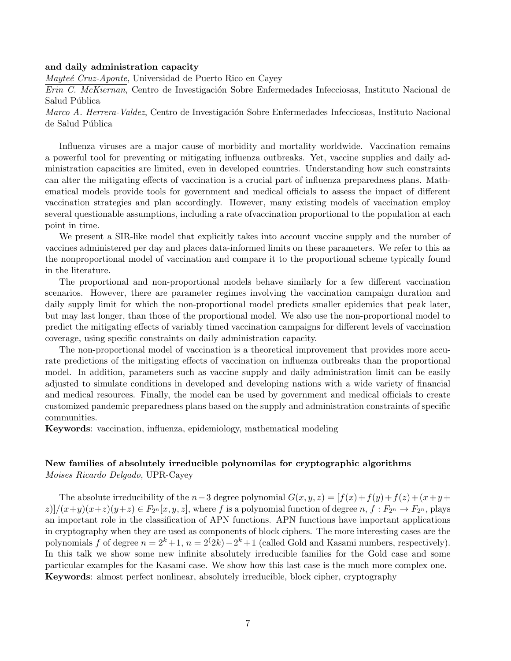#### and daily administration capacity

Mayteé Cruz-Aponte, Universidad de Puerto Rico en Cayey

Erin C. McKiernan, Centro de Investigación Sobre Enfermedades Infecciosas, Instituto Nacional de Salud Pública

Marco A. Herrera-Valdez, Centro de Investigación Sobre Enfermedades Infecciosas, Instituto Nacional de Salud Pública

Influenza viruses are a major cause of morbidity and mortality worldwide. Vaccination remains a powerful tool for preventing or mitigating influenza outbreaks. Yet, vaccine supplies and daily administration capacities are limited, even in developed countries. Understanding how such constraints can alter the mitigating effects of vaccination is a crucial part of influenza preparedness plans. Mathematical models provide tools for government and medical officials to assess the impact of different vaccination strategies and plan accordingly. However, many existing models of vaccination employ several questionable assumptions, including a rate ofvaccination proportional to the population at each point in time.

We present a SIR-like model that explicitly takes into account vaccine supply and the number of vaccines administered per day and places data-informed limits on these parameters. We refer to this as the nonproportional model of vaccination and compare it to the proportional scheme typically found in the literature.

The proportional and non-proportional models behave similarly for a few different vaccination scenarios. However, there are parameter regimes involving the vaccination campaign duration and daily supply limit for which the non-proportional model predicts smaller epidemics that peak later, but may last longer, than those of the proportional model. We also use the non-proportional model to predict the mitigating effects of variably timed vaccination campaigns for different levels of vaccination coverage, using specific constraints on daily administration capacity.

The non-proportional model of vaccination is a theoretical improvement that provides more accurate predictions of the mitigating effects of vaccination on influenza outbreaks than the proportional model. In addition, parameters such as vaccine supply and daily administration limit can be easily adjusted to simulate conditions in developed and developing nations with a wide variety of financial and medical resources. Finally, the model can be used by government and medical officials to create customized pandemic preparedness plans based on the supply and administration constraints of specific communities.

Keywords: vaccination, influenza, epidemiology, mathematical modeling

## New families of absolutely irreducible polynomilas for cryptographic algorithms Moises Ricardo Delgado, UPR-Cayey

The absolute irreducibility of the n-3 degree polynomial  $G(x, y, z) = [f(x) + f(y) + f(z) + (x + y + z)]$  $z$ )]/ $(x+y)(x+z)(y+z) \in F_{2^n}[x, y, z]$ , where f is a polynomial function of degree  $n, f: F_{2^n} \to F_{2^n}$ , plays an important role in the classification of APN functions. APN functions have important applications in cryptography when they are used as components of block ciphers. The more interesting cases are the polynomials f of degree  $n = 2<sup>k</sup> + 1$ ,  $n = 2<sup>(2k)</sup> - 2<sup>k</sup> + 1$  (called Gold and Kasami numbers, respectively). In this talk we show some new infinite absolutely irreducible families for the Gold case and some particular examples for the Kasami case. We show how this last case is the much more complex one. Keywords: almost perfect nonlinear, absolutely irreducible, block cipher, cryptography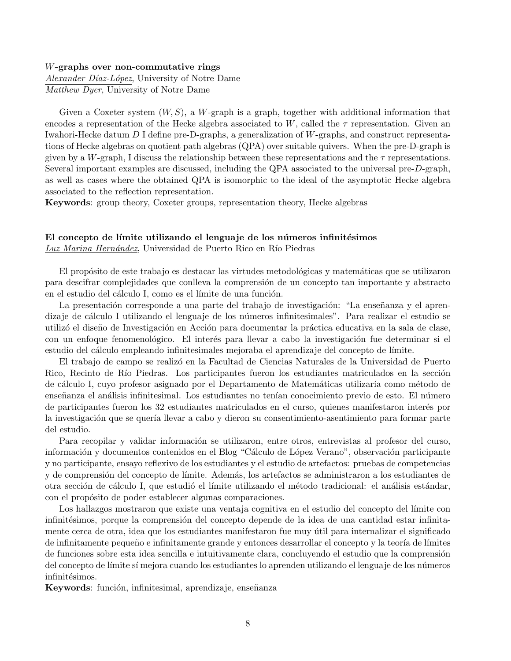#### W-graphs over non-commutative rings

Alexander Díaz-López, University of Notre Dame Matthew Dyer, University of Notre Dame

Given a Coxeter system  $(W, S)$ , a W-graph is a graph, together with additional information that encodes a representation of the Hecke algebra associated to W, called the  $\tau$  representation. Given an Iwahori-Hecke datum D I define pre-D-graphs, a generalization of W-graphs, and construct representations of Hecke algebras on quotient path algebras (QPA) over suitable quivers. When the pre-D-graph is given by a W-graph, I discuss the relationship between these representations and the  $\tau$  representations. Several important examples are discussed, including the QPA associated to the universal pre-D-graph, as well as cases where the obtained QPA is isomorphic to the ideal of the asymptotic Hecke algebra associated to the reflection representation.

Keywords: group theory, Coxeter groups, representation theory, Hecke algebras

#### El concepto de límite utilizando el lenguaje de los números infinitésimos Luz Marina Hernández, Universidad de Puerto Rico en Río Piedras

El propósito de este trabajo es destacar las virtudes metodológicas y matemáticas que se utilizaron para descifrar complejidades que conlleva la comprensión de un concepto tan importante y abstracto en el estudio del cálculo I, como es el límite de una función.

La presentación corresponde a una parte del trabajo de investigación: "La enseñanza y el aprendizaje de cálculo I utilizando el lenguaje de los números infinitesimales". Para realizar el estudio se utilizó el diseño de Investigación en Acción para documentar la práctica educativa en la sala de clase, con un enfoque fenomenológico. El interés para llevar a cabo la investigación fue determinar si el estudio del cálculo empleando infinitesimales mejoraba el aprendizaje del concepto de límite.

El trabajo de campo se realizó en la Facultad de Ciencias Naturales de la Universidad de Puerto Rico, Recinto de Río Piedras. Los participantes fueron los estudiantes matriculados en la sección de cálculo I, cuyo profesor asignado por el Departamento de Matemáticas utilizaría como método de enseñanza el análisis infinitesimal. Los estudiantes no tenían conocimiento previo de esto. El número de participantes fueron los 32 estudiantes matriculados en el curso, quienes manifestaron inter´es por la investigación que se quería llevar a cabo y dieron su consentimiento-asentimiento para formar parte del estudio.

Para recopilar y validar información se utilizaron, entre otros, entrevistas al profesor del curso, información y documentos contenidos en el Blog "Cálculo de López Verano", observación participante y no participante, ensayo reflexivo de los estudiantes y el estudio de artefactos: pruebas de competencias y de comprensión del concepto de límite. Además, los artefactos se administraron a los estudiantes de otra sección de cálculo I, que estudió el límite utilizando el método tradicional: el análisis estándar, con el propósito de poder establecer algunas comparaciones.

Los hallazgos mostraron que existe una ventaja cognitiva en el estudio del concepto del límite con infinitésimos, porque la comprensión del concepto depende de la idea de una cantidad estar infinitamente cerca de otra, idea que los estudiantes manifestaron fue muy útil para internalizar el significado de infinitamente pequeño e infinitamente grande y entonces desarrollar el concepto y la teoría de límites de funciones sobre esta idea sencilla e intuitivamente clara, concluyendo el estudio que la comprensión del concepto de l´ımite s´ı mejora cuando los estudiantes lo aprenden utilizando el lenguaje de los n´umeros infinitésimos.

Keywords: función, infinitesimal, aprendizaje, enseñanza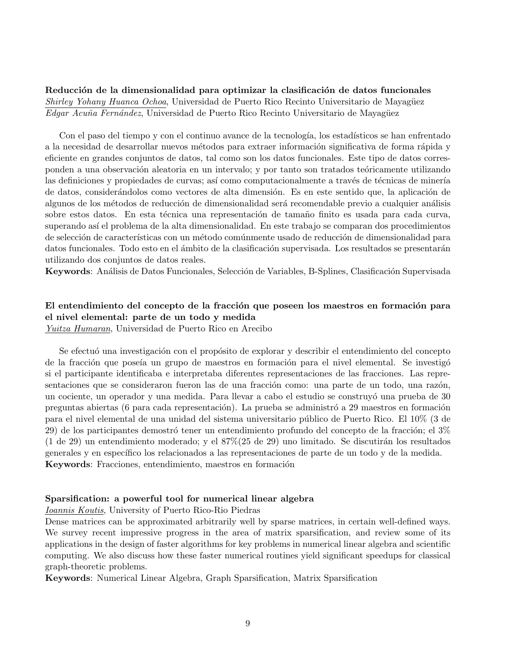Reducción de la dimensionalidad para optimizar la clasificación de datos funcionales Shirley Yohany Huanca Ochoa, Universidad de Puerto Rico Recinto Universitario de Mayagüez Edgar Acuña Fernández, Universidad de Puerto Rico Recinto Universitario de Mayagüez

Con el paso del tiempo y con el continuo avance de la tecnología, los estadísticos se han enfrentado a la necesidad de desarrollar nuevos métodos para extraer información significativa de forma rápida y eficiente en grandes conjuntos de datos, tal como son los datos funcionales. Este tipo de datos corresponden a una observación aleatoria en un intervalo; y por tanto son tratados teóricamente utilizando las definiciones y propiedades de curvas; así como computacionalmente a través de técnicas de minería de datos, considerándolos como vectores de alta dimensión. Es en este sentido que, la aplicación de algunos de los métodos de reducción de dimensionalidad será recomendable previo a cualquier análisis sobre estos datos. En esta técnica una representación de tamaño finito es usada para cada curva, superando así el problema de la alta dimensionalidad. En este trabajo se comparan dos procedimientos de selección de características con un método comúnmente usado de reducción de dimensionalidad para datos funcionales. Todo esto en el ámbito de la clasificación supervisada. Los resultados se presentarán utilizando dos conjuntos de datos reales.

Keywords: Análisis de Datos Funcionales, Selección de Variables, B-Splines, Clasificación Supervisada

## El entendimiento del concepto de la fracción que poseen los maestros en formación para el nivel elemental: parte de un todo y medida

Yuitza Humaran, Universidad de Puerto Rico en Arecibo

Se efectuó una investigación con el propósito de explorar y describir el entendimiento del concepto de la fracción que poseía un grupo de maestros en formación para el nivel elemental. Se investigó si el participante identificaba e interpretaba diferentes representaciones de las fracciones. Las representaciones que se consideraron fueron las de una fracción como: una parte de un todo, una razón, un cociente, un operador y una medida. Para llevar a cabo el estudio se construyó una prueba de 30 preguntas abiertas (6 para cada representación). La prueba se administró a 29 maestros en formación para el nivel elemental de una unidad del sistema universitario p´ublico de Puerto Rico. El 10% (3 de  $29$ ) de los participantes demostró tener un entendimiento profundo del concepto de la fracción; el  $3\%$  $(1$  de 29) un entendimiento moderado; y el  $87\%$  $(25$  de 29) uno limitado. Se discutirán los resultados generales y en específico los relacionados a las representaciones de parte de un todo y de la medida. Keywords: Fracciones, entendimiento, maestros en formación

#### Sparsification: a powerful tool for numerical linear algebra

Ioannis Koutis, University of Puerto Rico-Rio Piedras

Dense matrices can be approximated arbitrarily well by sparse matrices, in certain well-defined ways. We survey recent impressive progress in the area of matrix sparsification, and review some of its applications in the design of faster algorithms for key problems in numerical linear algebra and scientific computing. We also discuss how these faster numerical routines yield significant speedups for classical graph-theoretic problems.

Keywords: Numerical Linear Algebra, Graph Sparsification, Matrix Sparsification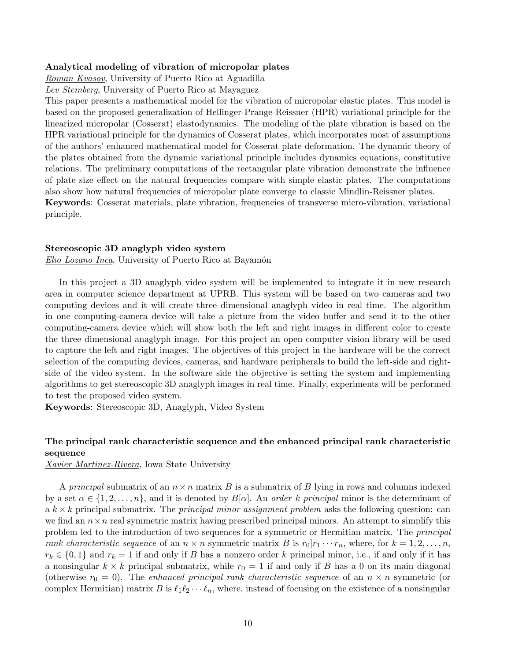#### Analytical modeling of vibration of micropolar plates

Roman Kvasov, University of Puerto Rico at Aguadilla

Lev Steinberg, University of Puerto Rico at Mayaguez

This paper presents a mathematical model for the vibration of micropolar elastic plates. This model is based on the proposed generalization of Hellinger-Prange-Reissner (HPR) variational principle for the linearized micropolar (Cosserat) elastodynamics. The modeling of the plate vibration is based on the HPR variational principle for the dynamics of Cosserat plates, which incorporates most of assumptions of the authors' enhanced mathematical model for Cosserat plate deformation. The dynamic theory of the plates obtained from the dynamic variational principle includes dynamics equations, constitutive relations. The preliminary computations of the rectangular plate vibration demonstrate the influence of plate size effect on the natural frequencies compare with simple elastic plates. The computations also show how natural frequencies of micropolar plate converge to classic Mindlin-Reissner plates.

Keywords: Cosserat materials, plate vibration, frequencies of transverse micro-vibration, variational principle.

#### Stereoscopic 3D anaglyph video system

Elio Lozano Inca, University of Puerto Rico at Bayamón

In this project a 3D anaglyph video system will be implemented to integrate it in new research area in computer science department at UPRB. This system will be based on two cameras and two computing devices and it will create three dimensional anaglyph video in real time. The algorithm in one computing-camera device will take a picture from the video buffer and send it to the other computing-camera device which will show both the left and right images in different color to create the three dimensional anaglyph image. For this project an open computer vision library will be used to capture the left and right images. The objectives of this project in the hardware will be the correct selection of the computing devices, cameras, and hardware peripherals to build the left-side and rightside of the video system. In the software side the objective is setting the system and implementing algorithms to get stereoscopic 3D anaglyph images in real time. Finally, experiments will be performed to test the proposed video system.

Keywords: Stereoscopic 3D, Anaglyph, Video System

## The principal rank characteristic sequence and the enhanced principal rank characteristic sequence

Xavier Martinez-Rivera, Iowa State University

A principal submatrix of an  $n \times n$  matrix B is a submatrix of B lying in rows and columns indexed by a set  $\alpha \in \{1, 2, \ldots, n\}$ , and it is denoted by  $B[\alpha]$ . An *order k principal* minor is the determinant of a  $k \times k$  principal submatrix. The *principal minor assignment problem* asks the following question: can we find an  $n \times n$  real symmetric matrix having prescribed principal minors. An attempt to simplify this problem led to the introduction of two sequences for a symmetric or Hermitian matrix. The principal rank characteristic sequence of an  $n \times n$  symmetric matrix B is  $r_0|r_1 \cdots r_n$ , where, for  $k = 1, 2, \ldots, n$ ,  $r_k \in \{0,1\}$  and  $r_k = 1$  if and only if B has a nonzero order k principal minor, i.e., if and only if it has a nonsingular  $k \times k$  principal submatrix, while  $r_0 = 1$  if and only if B has a 0 on its main diagonal (otherwise  $r_0 = 0$ ). The enhanced principal rank characteristic sequence of an  $n \times n$  symmetric (or complex Hermitian) matrix B is  $\ell_1\ell_2 \cdots \ell_n$ , where, instead of focusing on the existence of a nonsingular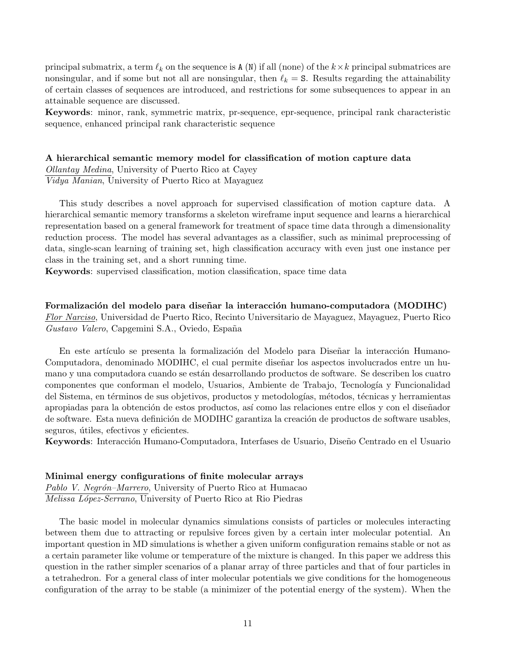principal submatrix, a term  $\ell_k$  on the sequence is A (N) if all (none) of the  $k \times k$  principal submatrices are nonsingular, and if some but not all are nonsingular, then  $\ell_k = S$ . Results regarding the attainability of certain classes of sequences are introduced, and restrictions for some subsequences to appear in an attainable sequence are discussed.

Keywords: minor, rank, symmetric matrix, pr-sequence, epr-sequence, principal rank characteristic sequence, enhanced principal rank characteristic sequence

#### A hierarchical semantic memory model for classification of motion capture data

Ollantay Medina, University of Puerto Rico at Cayey Vidya Manian, University of Puerto Rico at Mayaguez

This study describes a novel approach for supervised classification of motion capture data. A hierarchical semantic memory transforms a skeleton wireframe input sequence and learns a hierarchical representation based on a general framework for treatment of space time data through a dimensionality reduction process. The model has several advantages as a classifier, such as minimal preprocessing of data, single-scan learning of training set, high classification accuracy with even just one instance per class in the training set, and a short running time.

Keywords: supervised classification, motion classification, space time data

Formalización del modelo para diseñar la interacción humano-computadora (MODIHC) Flor Narciso, Universidad de Puerto Rico, Recinto Universitario de Mayaguez, Mayaguez, Puerto Rico Gustavo Valero, Capgemini S.A., Oviedo, España

En este artículo se presenta la formalización del Modelo para Diseñar la interacción Humano-Computadora, denominado MODIHC, el cual permite diseñar los aspectos involucrados entre un humano y una computadora cuando se están desarrollando productos de software. Se describen los cuatro componentes que conforman el modelo, Usuarios, Ambiente de Trabajo, Tecnología y Funcionalidad del Sistema, en términos de sus objetivos, productos y metodologías, métodos, técnicas y herramientas apropiadas para la obtención de estos productos, así como las relaciones entre ellos y con el diseñador de software. Esta nueva definición de MODIHC garantiza la creación de productos de software usables, seguros, útiles, efectivos y eficientes.

Keywords: Interacción Humano-Computadora, Interfases de Usuario, Diseño Centrado en el Usuario

#### Minimal energy configurations of finite molecular arrays

Pablo V. Negrón–Marrero, University of Puerto Rico at Humacao Melissa López-Serrano, University of Puerto Rico at Rio Piedras

The basic model in molecular dynamics simulations consists of particles or molecules interacting between them due to attracting or repulsive forces given by a certain inter molecular potential. An important question in MD simulations is whether a given uniform configuration remains stable or not as a certain parameter like volume or temperature of the mixture is changed. In this paper we address this question in the rather simpler scenarios of a planar array of three particles and that of four particles in a tetrahedron. For a general class of inter molecular potentials we give conditions for the homogeneous configuration of the array to be stable (a minimizer of the potential energy of the system). When the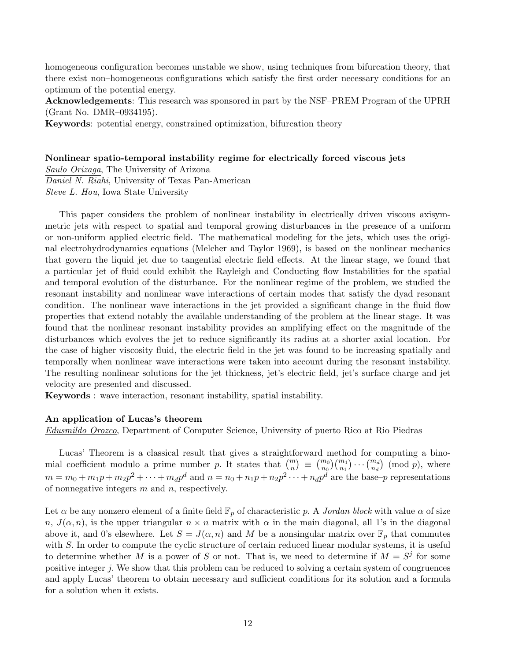homogeneous configuration becomes unstable we show, using techniques from bifurcation theory, that there exist non–homogeneous configurations which satisfy the first order necessary conditions for an optimum of the potential energy.

Acknowledgements: This research was sponsored in part by the NSF–PREM Program of the UPRH (Grant No. DMR–0934195).

Keywords: potential energy, constrained optimization, bifurcation theory

#### Nonlinear spatio-temporal instability regime for electrically forced viscous jets

Saulo Orizaga, The University of Arizona Daniel N. Riahi, University of Texas Pan-American Steve L. Hou, Iowa State University

This paper considers the problem of nonlinear instability in electrically driven viscous axisymmetric jets with respect to spatial and temporal growing disturbances in the presence of a uniform or non-uniform applied electric field. The mathematical modeling for the jets, which uses the original electrohydrodynamics equations (Melcher and Taylor 1969), is based on the nonlinear mechanics that govern the liquid jet due to tangential electric field effects. At the linear stage, we found that a particular jet of fluid could exhibit the Rayleigh and Conducting flow Instabilities for the spatial and temporal evolution of the disturbance. For the nonlinear regime of the problem, we studied the resonant instability and nonlinear wave interactions of certain modes that satisfy the dyad resonant condition. The nonlinear wave interactions in the jet provided a significant change in the fluid flow properties that extend notably the available understanding of the problem at the linear stage. It was found that the nonlinear resonant instability provides an amplifying effect on the magnitude of the disturbances which evolves the jet to reduce significantly its radius at a shorter axial location. For the case of higher viscosity fluid, the electric field in the jet was found to be increasing spatially and temporally when nonlinear wave interactions were taken into account during the resonant instability. The resulting nonlinear solutions for the jet thickness, jet's electric field, jet's surface charge and jet velocity are presented and discussed.

Keywords : wave interaction, resonant instability, spatial instability.

#### An application of Lucas's theorem

Edusmildo Orozco, Department of Computer Science, University of puerto Rico at Rio Piedras

Lucas' Theorem is a classical result that gives a straightforward method for computing a binomial coefficient modulo a prime number p. It states that  $\binom{m}{n} \equiv \binom{m_0}{n_0} \binom{m_1}{n_1} \cdots \binom{m_d}{n_d}$  (mod p), where  $m = m_0 + m_1p + m_2p^2 + \cdots + m_d p^d$  and  $n = n_0 + n_1p + n_2p^2 + \cdots + n_d p^d$  are the base-p representations of nonnegative integers  $m$  and  $n$ , respectively.

Let  $\alpha$  be any nonzero element of a finite field  $\mathbb{F}_p$  of characteristic p. A Jordan block with value  $\alpha$  of size n,  $J(\alpha, n)$ , is the upper triangular  $n \times n$  matrix with  $\alpha$  in the main diagonal, all 1's in the diagonal above it, and 0's elsewhere. Let  $S = J(\alpha, n)$  and M be a nonsingular matrix over  $\mathbb{F}_p$  that commutes with S. In order to compute the cyclic structure of certain reduced linear modular systems, it is useful to determine whether M is a power of S or not. That is, we need to determine if  $M = S^j$  for some positive integer j. We show that this problem can be reduced to solving a certain system of congruences and apply Lucas' theorem to obtain necessary and sufficient conditions for its solution and a formula for a solution when it exists.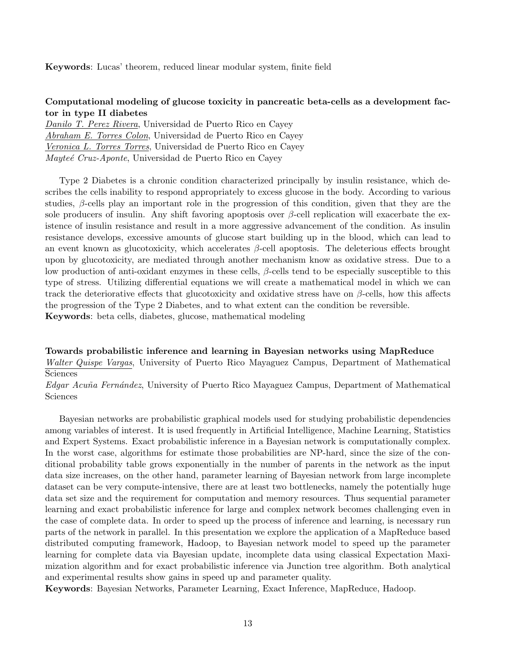Keywords: Lucas' theorem, reduced linear modular system, finite field

## Computational modeling of glucose toxicity in pancreatic beta-cells as a development factor in type II diabetes

Danilo T. Perez Rivera, Universidad de Puerto Rico en Cayey Abraham E. Torres Colon, Universidad de Puerto Rico en Cayey Veronica L. Torres Torres, Universidad de Puerto Rico en Cayey  $Mayteé, Cruz-Apponte, Universidad de Puerto Rico en Cavev$ 

Type 2 Diabetes is a chronic condition characterized principally by insulin resistance, which describes the cells inability to respond appropriately to excess glucose in the body. According to various studies,  $\beta$ -cells play an important role in the progression of this condition, given that they are the sole producers of insulin. Any shift favoring apoptosis over  $\beta$ -cell replication will exacerbate the existence of insulin resistance and result in a more aggressive advancement of the condition. As insulin resistance develops, excessive amounts of glucose start building up in the blood, which can lead to an event known as glucotoxicity, which accelerates  $\beta$ -cell apoptosis. The deleterious effects brought upon by glucotoxicity, are mediated through another mechanism know as oxidative stress. Due to a low production of anti-oxidant enzymes in these cells,  $\beta$ -cells tend to be especially susceptible to this type of stress. Utilizing differential equations we will create a mathematical model in which we can track the deteriorative effects that glucotoxicity and oxidative stress have on  $\beta$ -cells, how this affects the progression of the Type 2 Diabetes, and to what extent can the condition be reversible. Keywords: beta cells, diabetes, glucose, mathematical modeling

Towards probabilistic inference and learning in Bayesian networks using MapReduce Walter Quispe Vargas, University of Puerto Rico Mayaguez Campus, Department of Mathematical Sciences

Edgar Acuña Fernández, University of Puerto Rico Mayaguez Campus, Department of Mathematical Sciences

Bayesian networks are probabilistic graphical models used for studying probabilistic dependencies among variables of interest. It is used frequently in Artificial Intelligence, Machine Learning, Statistics and Expert Systems. Exact probabilistic inference in a Bayesian network is computationally complex. In the worst case, algorithms for estimate those probabilities are NP-hard, since the size of the conditional probability table grows exponentially in the number of parents in the network as the input data size increases, on the other hand, parameter learning of Bayesian network from large incomplete dataset can be very compute-intensive, there are at least two bottlenecks, namely the potentially huge data set size and the requirement for computation and memory resources. Thus sequential parameter learning and exact probabilistic inference for large and complex network becomes challenging even in the case of complete data. In order to speed up the process of inference and learning, is necessary run parts of the network in parallel. In this presentation we explore the application of a MapReduce based distributed computing framework, Hadoop, to Bayesian network model to speed up the parameter learning for complete data via Bayesian update, incomplete data using classical Expectation Maximization algorithm and for exact probabilistic inference via Junction tree algorithm. Both analytical and experimental results show gains in speed up and parameter quality.

Keywords: Bayesian Networks, Parameter Learning, Exact Inference, MapReduce, Hadoop.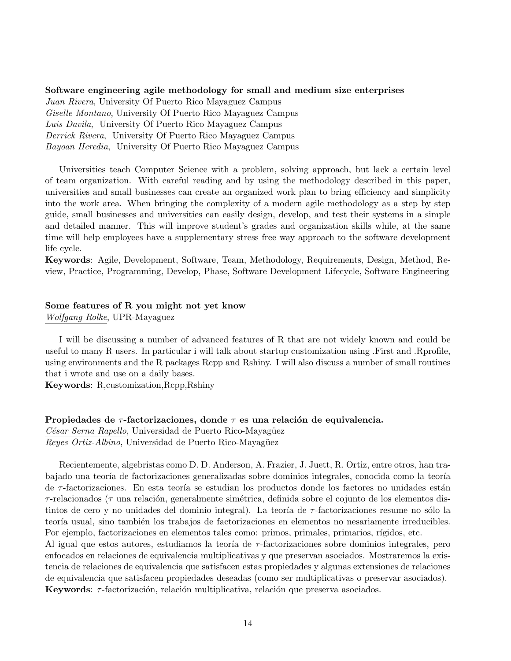## Software engineering agile methodology for small and medium size enterprises Juan Rivera, University Of Puerto Rico Mayaguez Campus Giselle Montano, University Of Puerto Rico Mayaguez Campus Luis Davila, University Of Puerto Rico Mayaguez Campus Derrick Rivera, University Of Puerto Rico Mayaguez Campus Bayoan Heredia, University Of Puerto Rico Mayaguez Campus

Universities teach Computer Science with a problem, solving approach, but lack a certain level of team organization. With careful reading and by using the methodology described in this paper, universities and small businesses can create an organized work plan to bring efficiency and simplicity into the work area. When bringing the complexity of a modern agile methodology as a step by step guide, small businesses and universities can easily design, develop, and test their systems in a simple and detailed manner. This will improve student's grades and organization skills while, at the same time will help employees have a supplementary stress free way approach to the software development life cycle.

Keywords: Agile, Development, Software, Team, Methodology, Requirements, Design, Method, Review, Practice, Programming, Develop, Phase, Software Development Lifecycle, Software Engineering

#### Some features of R you might not yet know

Wolfgang Rolke, UPR-Mayaguez

I will be discussing a number of advanced features of R that are not widely known and could be useful to many R users. In particular i will talk about startup customization using .First and .Rprofile, using environments and the R packages Rcpp and Rshiny. I will also discuss a number of small routines that i wrote and use on a daily bases.

Keywords: R,customization,Rcpp,Rshiny

Propiedades de  $\tau$ -factorizaciones, donde  $\tau$  es una relación de equivalencia. César Serna Rapello, Universidad de Puerto Rico-Mayagüez Reyes Ortiz-Albino, Universidad de Puerto Rico-Mayagüez

Recientemente, algebristas como D. D. Anderson, A. Frazier, J. Juett, R. Ortiz, entre otros, han trabajado una teoría de factorizaciones generalizadas sobre dominios integrales, conocida como la teoría de  $\tau$ -factorizaciones. En esta teoría se estudian los productos donde los factores no unidades están  $\tau$ -relacionados ( $\tau$  una relación, generalmente simétrica, definida sobre el cojunto de los elementos distintos de cero y no unidades del dominio integral). La teoría de  $\tau$ -factorizaciones resume no sólo la teoría usual, sino también los trabajos de factorizaciones en elementos no nesariamente irreducibles. Por ejemplo, factorizaciones en elementos tales como: primos, primales, primarios, rígidos, etc.

Al igual que estos autores, estudiamos la teoría de  $\tau$ -factorizaciones sobre dominios integrales, pero enfocados en relaciones de equivalencia multiplicativas y que preservan asociados. Mostraremos la existencia de relaciones de equivalencia que satisfacen estas propiedades y algunas extensiones de relaciones de equivalencia que satisfacen propiedades deseadas (como ser multiplicativas o preservar asociados). Keywords:  $\tau$ -factorización, relación multiplicativa, relación que preserva asociados.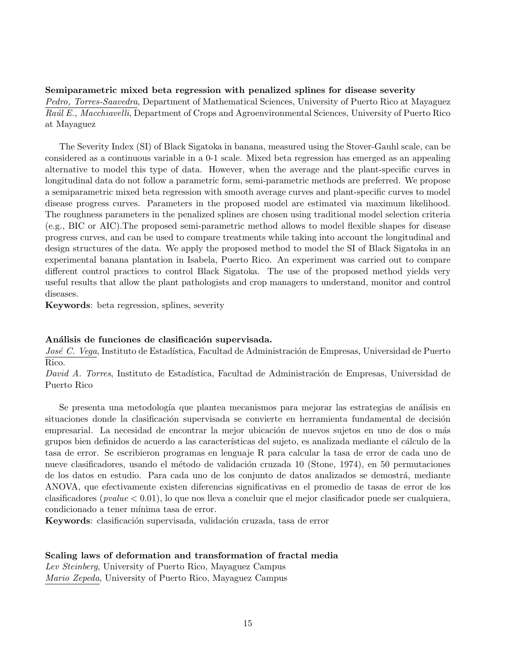#### Semiparametric mixed beta regression with penalized splines for disease severity

Pedro, Torres-Saavedra, Department of Mathematical Sciences, University of Puerto Rico at Mayaguez Raúl E., Macchiavelli, Department of Crops and Agroenvironmental Sciences, University of Puerto Rico at Mayaguez

The Severity Index (SI) of Black Sigatoka in banana, measured using the Stover-Gauhl scale, can be considered as a continuous variable in a 0-1 scale. Mixed beta regression has emerged as an appealing alternative to model this type of data. However, when the average and the plant-specific curves in longitudinal data do not follow a parametric form, semi-parametric methods are preferred. We propose a semiparametric mixed beta regression with smooth average curves and plant-specific curves to model disease progress curves. Parameters in the proposed model are estimated via maximum likelihood. The roughness parameters in the penalized splines are chosen using traditional model selection criteria (e.g., BIC or AIC).The proposed semi-parametric method allows to model flexible shapes for disease progress curves, and can be used to compare treatments while taking into account the longitudinal and design structures of the data. We apply the proposed method to model the SI of Black Sigatoka in an experimental banana plantation in Isabela, Puerto Rico. An experiment was carried out to compare different control practices to control Black Sigatoka. The use of the proposed method yields very useful results that allow the plant pathologists and crop managers to understand, monitor and control diseases.

Keywords: beta regression, splines, severity

#### Análisis de funciones de clasificación supervisada.

José C. Vega, Instituto de Estadística, Facultad de Administración de Empresas, Universidad de Puerto Rico.

David A. Torres, Instituto de Estadística, Facultad de Administración de Empresas, Universidad de Puerto Rico

Se presenta una metodología que plantea mecanismos para mejorar las estrategias de análisis en situaciones donde la clasificación supervisada se convierte en herramienta fundamental de decisión empresarial. La necesidad de encontrar la mejor ubicación de nuevos sujetos en uno de dos o más grupos bien definidos de acuerdo a las características del sujeto, es analizada mediante el cálculo de la tasa de error. Se escribieron programas en lenguaje R para calcular la tasa de error de cada uno de nueve clasificadores, usando el método de validación cruzada 10 (Stone, 1974), en 50 permutaciones de los datos en estudio. Para cada uno de los conjunto de datos analizados se demostrá, mediante ANOVA, que efectivamente existen diferencias significativas en el promedio de tasas de error de los clasificadores (*pvalue*  $< 0.01$ ), lo que nos lleva a concluir que el mejor clasificador puede ser cualquiera, condicionado a tener mínima tasa de error.

Keywords: clasificación supervisada, validación cruzada, tasa de error

#### Scaling laws of deformation and transformation of fractal media

Lev Steinberg, University of Puerto Rico, Mayaguez Campus Mario Zepeda, University of Puerto Rico, Mayaguez Campus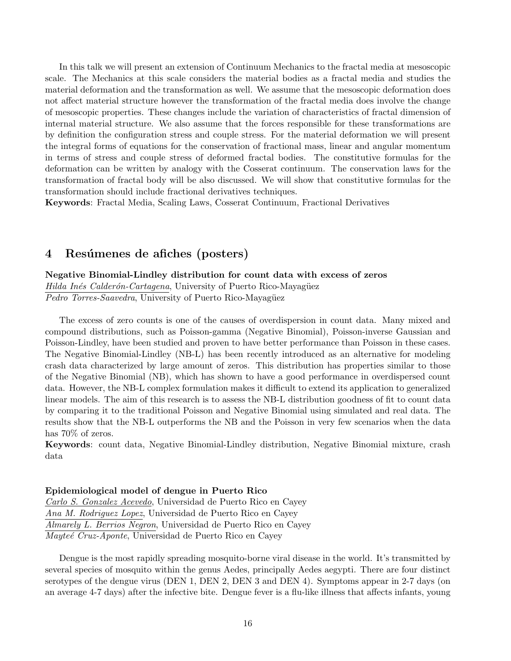In this talk we will present an extension of Continuum Mechanics to the fractal media at mesoscopic scale. The Mechanics at this scale considers the material bodies as a fractal media and studies the material deformation and the transformation as well. We assume that the mesoscopic deformation does not affect material structure however the transformation of the fractal media does involve the change of mesoscopic properties. These changes include the variation of characteristics of fractal dimension of internal material structure. We also assume that the forces responsible for these transformations are by definition the configuration stress and couple stress. For the material deformation we will present the integral forms of equations for the conservation of fractional mass, linear and angular momentum in terms of stress and couple stress of deformed fractal bodies. The constitutive formulas for the deformation can be written by analogy with the Cosserat continuum. The conservation laws for the transformation of fractal body will be also discussed. We will show that constitutive formulas for the transformation should include fractional derivatives techniques.

Keywords: Fractal Media, Scaling Laws, Cosserat Continuum, Fractional Derivatives

## 4 Resúmenes de afiches (posters)

Negative Binomial-Lindley distribution for count data with excess of zeros Hilda Inés Calderón-Cartagena, University of Puerto Rico-Mayagüez Pedro Torres-Saavedra, University of Puerto Rico-Mayagüez

The excess of zero counts is one of the causes of overdispersion in count data. Many mixed and compound distributions, such as Poisson-gamma (Negative Binomial), Poisson-inverse Gaussian and Poisson-Lindley, have been studied and proven to have better performance than Poisson in these cases. The Negative Binomial-Lindley (NB-L) has been recently introduced as an alternative for modeling crash data characterized by large amount of zeros. This distribution has properties similar to those of the Negative Binomial (NB), which has shown to have a good performance in overdispersed count data. However, the NB-L complex formulation makes it difficult to extend its application to generalized linear models. The aim of this research is to assess the NB-L distribution goodness of fit to count data by comparing it to the traditional Poisson and Negative Binomial using simulated and real data. The results show that the NB-L outperforms the NB and the Poisson in very few scenarios when the data has  $70\%$  of zeros.

Keywords: count data, Negative Binomial-Lindley distribution, Negative Binomial mixture, crash data

#### Epidemiological model of dengue in Puerto Rico

Carlo S. Gonzalez Acevedo, Universidad de Puerto Rico en Cayey Ana M. Rodriguez Lopez, Universidad de Puerto Rico en Cayey Almarely L. Berrios Negron, Universidad de Puerto Rico en Cayey Mayteé Cruz-Aponte, Universidad de Puerto Rico en Cayey

Dengue is the most rapidly spreading mosquito-borne viral disease in the world. It's transmitted by several species of mosquito within the genus Aedes, principally Aedes aegypti. There are four distinct serotypes of the dengue virus (DEN 1, DEN 2, DEN 3 and DEN 4). Symptoms appear in 2-7 days (on an average 4-7 days) after the infective bite. Dengue fever is a flu-like illness that affects infants, young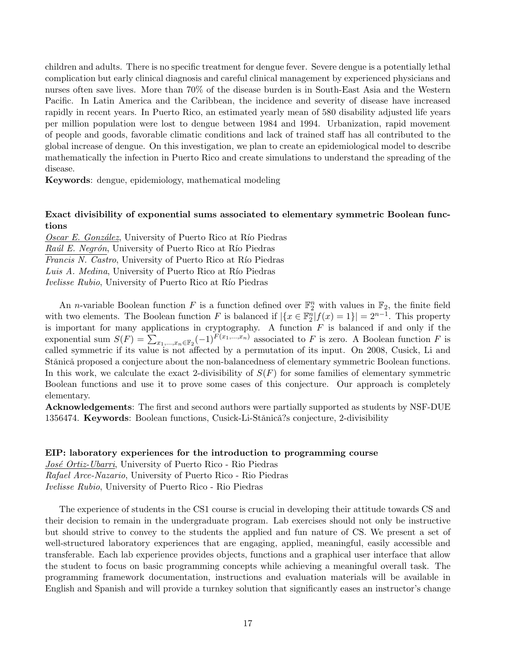children and adults. There is no specific treatment for dengue fever. Severe dengue is a potentially lethal complication but early clinical diagnosis and careful clinical management by experienced physicians and nurses often save lives. More than 70% of the disease burden is in South-East Asia and the Western Pacific. In Latin America and the Caribbean, the incidence and severity of disease have increased rapidly in recent years. In Puerto Rico, an estimated yearly mean of 580 disability adjusted life years per million population were lost to dengue between 1984 and 1994. Urbanization, rapid movement of people and goods, favorable climatic conditions and lack of trained staff has all contributed to the global increase of dengue. On this investigation, we plan to create an epidemiological model to describe mathematically the infection in Puerto Rico and create simulations to understand the spreading of the disease.

Keywords: dengue, epidemiology, mathematical modeling

#### Exact divisibility of exponential sums associated to elementary symmetric Boolean functions

Oscar E. González, University of Puerto Rico at Río Piedras Raúl E. Negrón, University of Puerto Rico at Río Piedras Francis N. Castro, University of Puerto Rico at Río Piedras Luis A. Medina, University of Puerto Rico at Río Piedras Ivelisse Rubio, University of Puerto Rico at Río Piedras

An *n*-variable Boolean function F is a function defined over  $\mathbb{F}_2^n$  with values in  $\mathbb{F}_2$ , the finite field with two elements. The Boolean function F is balanced if  $|\{x \in \mathbb{F}_2^n | f(x) = 1\}| = 2^{n-1}$ . This property is important for many applications in cryptography. A function  $F$  is balanced if and only if the exponential sum  $S(F) = \sum_{x_1,\dots,x_n \in \mathbb{F}_2} (-1)^{F(x_1,\dots,x_n)}$  associated to F is zero. A Boolean function F is called symmetric if its value is not affected by a permutation of its input. On 2008, Cusick, Li and Stănică proposed a conjecture about the non-balancedness of elementary symmetric Boolean functions. In this work, we calculate the exact 2-divisibility of  $S(F)$  for some families of elementary symmetric Boolean functions and use it to prove some cases of this conjecture. Our approach is completely elementary.

Acknowledgements: The first and second authors were partially supported as students by NSF-DUE 1356474. Keywords: Boolean functions, Cusick-Li-Stănică?s conjecture, 2-divisibility

#### EIP: laboratory experiences for the introduction to programming course

José Ortiz-Ubarri, University of Puerto Rico - Rio Piedras Rafael Arce-Nazario, University of Puerto Rico - Rio Piedras Ivelisse Rubio, University of Puerto Rico - Rio Piedras

The experience of students in the CS1 course is crucial in developing their attitude towards CS and their decision to remain in the undergraduate program. Lab exercises should not only be instructive but should strive to convey to the students the applied and fun nature of CS. We present a set of well-structured laboratory experiences that are engaging, applied, meaningful, easily accessible and transferable. Each lab experience provides objects, functions and a graphical user interface that allow the student to focus on basic programming concepts while achieving a meaningful overall task. The programming framework documentation, instructions and evaluation materials will be available in English and Spanish and will provide a turnkey solution that significantly eases an instructor's change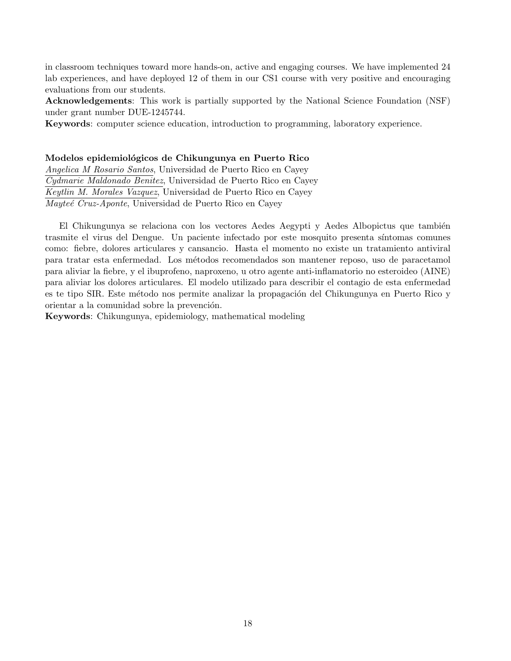in classroom techniques toward more hands-on, active and engaging courses. We have implemented 24 lab experiences, and have deployed 12 of them in our CS1 course with very positive and encouraging evaluations from our students.

Acknowledgements: This work is partially supported by the National Science Foundation (NSF) under grant number DUE-1245744.

Keywords: computer science education, introduction to programming, laboratory experience.

#### Modelos epidemiológicos de Chikungunya en Puerto Rico

Angelica M Rosario Santos, Universidad de Puerto Rico en Cayey Cydmarie Maldonado Benitez, Universidad de Puerto Rico en Cayey Keytlin M. Morales Vazquez, Universidad de Puerto Rico en Cayey Mayteé Cruz-Aponte, Universidad de Puerto Rico en Cayey

El Chikungunya se relaciona con los vectores Aedes Aegypti y Aedes Albopictus que también trasmite el virus del Dengue. Un paciente infectado por este mosquito presenta s´ıntomas comunes como: fiebre, dolores articulares y cansancio. Hasta el momento no existe un tratamiento antiviral para tratar esta enfermedad. Los m´etodos recomendados son mantener reposo, uso de paracetamol para aliviar la fiebre, y el ibuprofeno, naproxeno, u otro agente anti-inflamatorio no esteroideo (AINE) para aliviar los dolores articulares. El modelo utilizado para describir el contagio de esta enfermedad es te tipo SIR. Este método nos permite analizar la propagación del Chikungunya en Puerto Rico y orientar a la comunidad sobre la prevención.

Keywords: Chikungunya, epidemiology, mathematical modeling